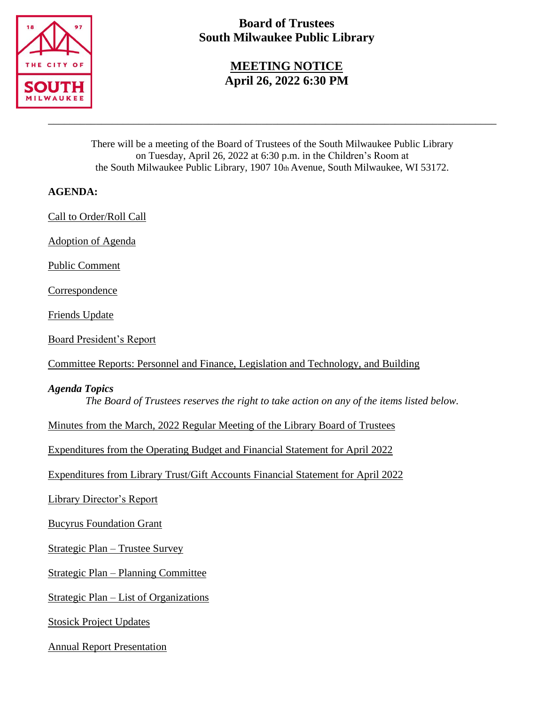

# **Board of Trustees South Milwaukee Public Library**

## **MEETING NOTICE April 26, 2022 6:30 PM**

There will be a meeting of the Board of Trustees of the South Milwaukee Public Library on Tuesday, April 26, 2022 at 6:30 p.m. in the Children's Room at the South Milwaukee Public Library, 1907 10th Avenue, South Milwaukee, WI 53172.

\_\_\_\_\_\_\_\_\_\_\_\_\_\_\_\_\_\_\_\_\_\_\_\_\_\_\_\_\_\_\_\_\_\_\_\_\_\_\_\_\_\_\_\_\_\_\_\_\_\_\_\_\_\_\_\_\_\_\_\_\_\_\_\_\_\_\_\_\_\_\_\_\_\_\_\_\_\_\_\_\_\_\_\_

## **AGENDA:**

Call to Order/Roll Call

Adoption of Agenda

Public Comment

**Correspondence** 

Friends Update

Board President's Report

Committee Reports: Personnel and Finance, Legislation and Technology, and Building

### *Agenda Topics*

*The Board of Trustees reserves the right to take action on any of the items listed below.*

Minutes from the March, 2022 Regular Meeting of the Library Board of Trustees

Expenditures from the Operating Budget and Financial Statement for April 2022

Expenditures from Library Trust/Gift Accounts Financial Statement for April 2022

Library Director's Report

Bucyrus Foundation Grant

Strategic Plan – Trustee Survey

Strategic Plan – Planning Committee

Strategic Plan – List of Organizations

Stosick Project Updates

Annual Report Presentation